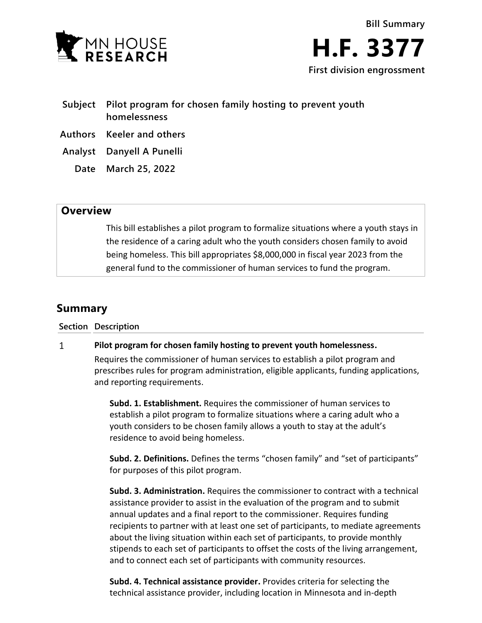

- **Subject Pilot program for chosen family hosting to prevent youth homelessness**
- **Authors Keeler and others**
- **Analyst Danyell A Punelli**
	- **Date March 25, 2022**

## **Overview**

This bill establishes a pilot program to formalize situations where a youth stays in the residence of a caring adult who the youth considers chosen family to avoid being homeless. This bill appropriates \$8,000,000 in fiscal year 2023 from the general fund to the commissioner of human services to fund the program.

# **Summary**

**Section Description**

#### $\mathbf{1}$ **Pilot program for chosen family hosting to prevent youth homelessness.**

Requires the commissioner of human services to establish a pilot program and prescribes rules for program administration, eligible applicants, funding applications, and reporting requirements.

**Subd. 1. Establishment.** Requires the commissioner of human services to establish a pilot program to formalize situations where a caring adult who a youth considers to be chosen family allows a youth to stay at the adult's residence to avoid being homeless.

**Subd. 2. Definitions.** Defines the terms "chosen family" and "set of participants" for purposes of this pilot program.

**Subd. 3. Administration.** Requires the commissioner to contract with a technical assistance provider to assist in the evaluation of the program and to submit annual updates and a final report to the commissioner. Requires funding recipients to partner with at least one set of participants, to mediate agreements about the living situation within each set of participants, to provide monthly stipends to each set of participants to offset the costs of the living arrangement, and to connect each set of participants with community resources.

**Subd. 4. Technical assistance provider.** Provides criteria for selecting the technical assistance provider, including location in Minnesota and in-depth